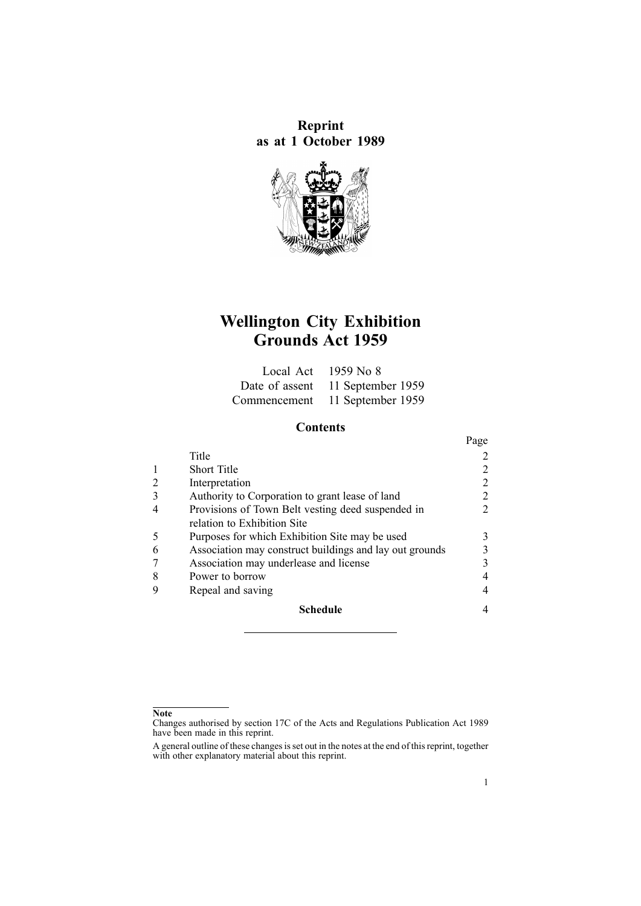**Reprint as at 1 October 1989**



# **Wellington City Exhibition Grounds Act 1959**

| Local Act $1959$ No 8            |
|----------------------------------|
| Date of assent 11 September 1959 |
| Commencement 11 September 1959   |

# **Contents**

|   |                                                         | Page |
|---|---------------------------------------------------------|------|
|   | Title                                                   |      |
|   | <b>Short Title</b>                                      |      |
|   | Interpretation                                          |      |
|   | Authority to Corporation to grant lease of land         |      |
|   | Provisions of Town Belt vesting deed suspended in       |      |
|   | relation to Exhibition Site                             |      |
|   | Purposes for which Exhibition Site may be used          |      |
| 6 | Association may construct buildings and lay out grounds |      |
|   | Association may underlease and license                  |      |
|   | Power to borrow                                         |      |
|   | Repeal and saving                                       |      |
|   | <b>Schedule</b>                                         |      |

#### **Note**

Changes authorised by [section](http://www.legislation.govt.nz/pdflink.aspx?id=DLM195466) 17C of the Acts and Regulations Publication Act 1989 have been made in this reprint.

A general outline of these changes is set out in the notes at the end of this reprint, together with other explanatory material about this reprint.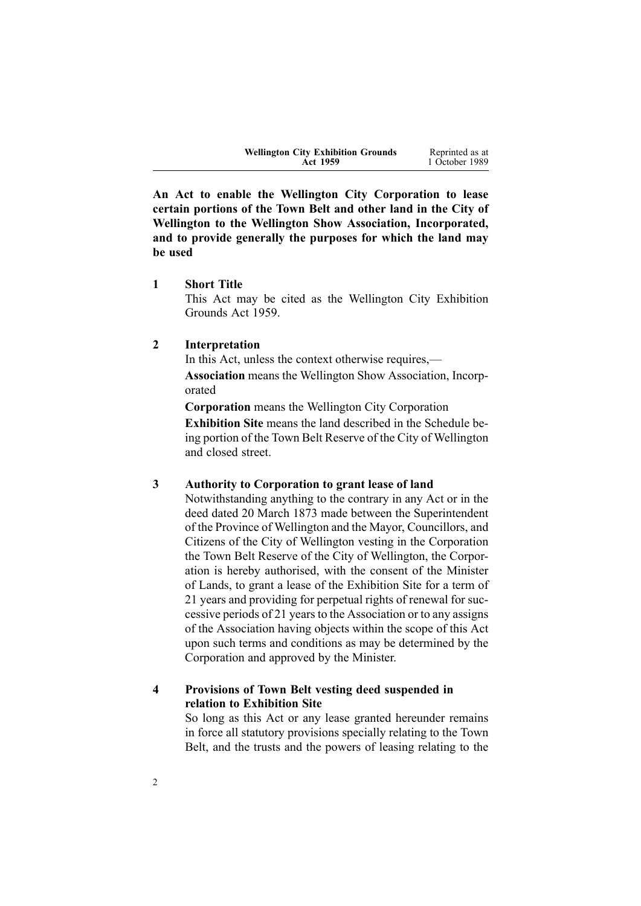| <b>Wellington City Exhibition Grounds</b> | Reprinted as at |
|-------------------------------------------|-----------------|
| <b>Act 1959</b>                           | 1 October 1989  |
|                                           |                 |

<span id="page-1-0"></span>**An Act to enable the Wellington City Corporation to lease certain portions of the Town Belt and other land in the City of Wellington to the Wellington Show Association, Incorporated, and to provide generally the purposes for which the land may be used**

**1 Short Title**

This Act may be cited as the Wellington City Exhibition Grounds Act 1959.

#### **2 Interpretation**

In this Act, unless the context otherwise requires,— **Association** means the Wellington Show Association, Incorporated

**Corporation** means the Wellington City Corporation

**Exhibition Site** means the land described in the [Schedule](#page-3-0) being portion of the Town Belt Reserve of the City of Wellington and closed street.

### **3 Authority to Corporation to grant lease of land**

Notwithstanding anything to the contrary in any Act or in the deed dated 20 March 1873 made between the Superintendent of the Province of Wellington and the Mayor, Councillors, and Citizens of the City of Wellington vesting in the Corporation the Town Belt Reserve of the City of Wellington, the Corporation is hereby authorised, with the consent of the Minister of Lands, to gran<sup>t</sup> <sup>a</sup> lease of the Exhibition Site for <sup>a</sup> term of 21 years and providing for perpetual rights of renewal for successive periods of 21 years to the Association or to any assigns of the Association having objects within the scope of this Act upon such terms and conditions as may be determined by the Corporation and approved by the Minister.

# **4 Provisions of Town Belt vesting deed suspended in relation to Exhibition Site**

So long as this Act or any lease granted hereunder remains in force all statutory provisions specially relating to the Town Belt, and the trusts and the powers of leasing relating to the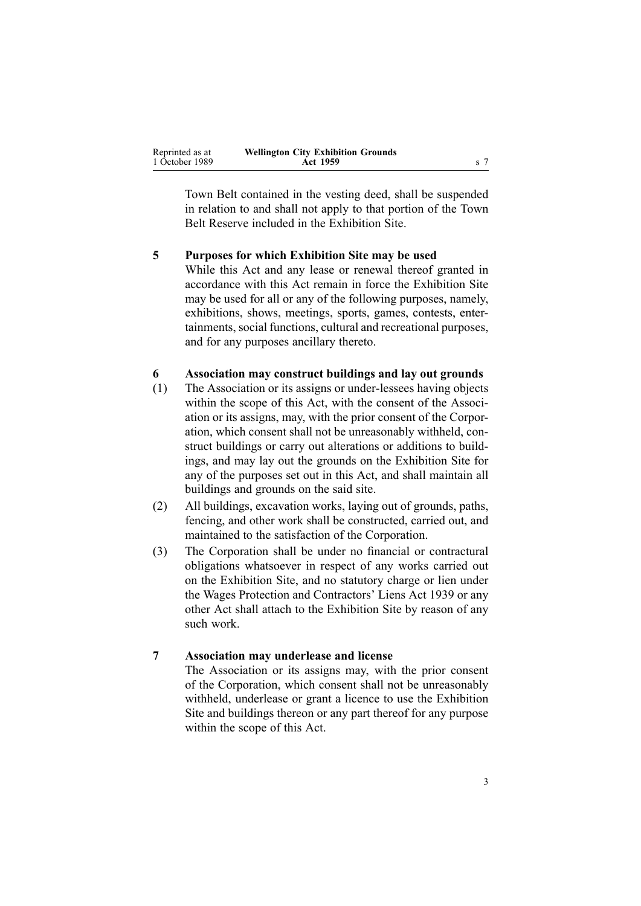<span id="page-2-0"></span>

| Reprinted as at | <b>Wellington City Exhibition Grounds</b> |  |
|-----------------|-------------------------------------------|--|
| 1 October 1989  | <b>Act 1959</b>                           |  |

Town Belt contained in the vesting deed, shall be suspended in relation to and shall not apply to that portion of the Town Belt Reserve included in the Exhibition Site.

#### **5 Purposes for which Exhibition Site may be used**

While this Act and any lease or renewal thereof granted in accordance with this Act remain in force the Exhibition Site may be used for all or any of the following purposes, namely, exhibitions, shows, meetings, sports, games, contests, entertainments, social functions, cultural and recreational purposes, and for any purposes ancillary thereto.

## **6 Association may construct buildings and lay out grounds**

- (1) The Association or its assigns or under-lessees having objects within the scope of this Act, with the consent of the Association or its assigns, may, with the prior consent of the Corporation, which consent shall not be unreasonably withheld, construct buildings or carry out alterations or additions to buildings, and may lay out the grounds on the Exhibition Site for any of the purposes set out in this Act, and shall maintain all buildings and grounds on the said site.
- (2) All buildings, excavation works, laying out of grounds, paths, fencing, and other work shall be constructed, carried out, and maintained to the satisfaction of the Corporation.
- (3) The Corporation shall be under no financial or contractural obligations whatsoever in respec<sup>t</sup> of any works carried out on the Exhibition Site, and no statutory charge or lien under the Wages Protection and Contractors' Liens Act 1939 or any other Act shall attach to the Exhibition Site by reason of any such work.

#### **7 Association may underlease and license**

The Association or its assigns may, with the prior consent of the Corporation, which consent shall not be unreasonably withheld, underlease or gran<sup>t</sup> <sup>a</sup> licence to use the Exhibition Site and buildings thereon or any par<sup>t</sup> thereof for any purpose within the scope of this Act.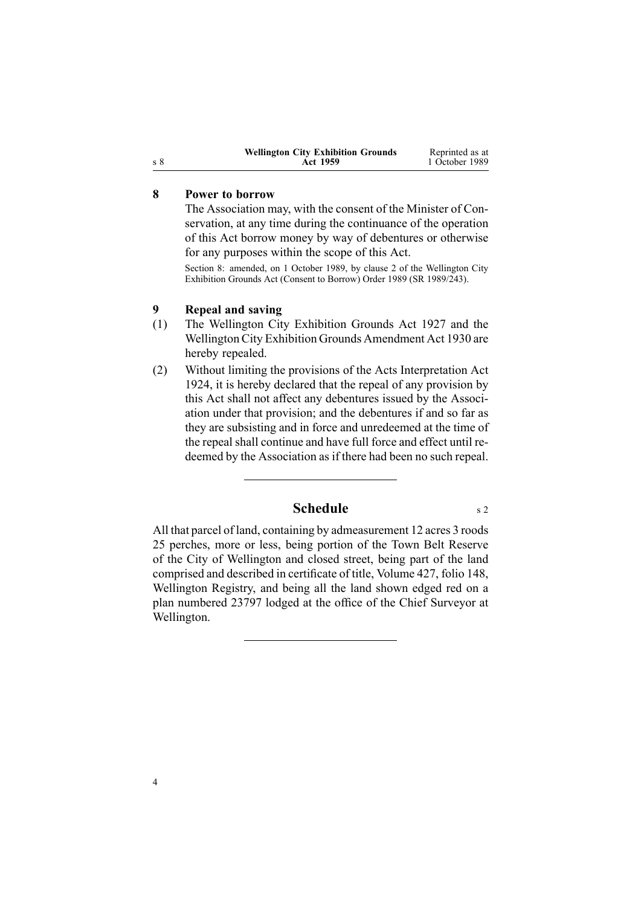| <b>Wellington City Exhibition Grounds</b> | Reprinted as at |
|-------------------------------------------|-----------------|
| <b>Act 1959</b>                           | 1 October 1989  |

### **8 Power to borrow**

The Association may, with the consent of the Minister of Conservation, at any time during the continuance of the operation of this Act borrow money by way of debentures or otherwise for any purposes within the scope of this Act.

Section 8: amended, on 1 October 1989, by [clause](http://www.legislation.govt.nz/pdflink.aspx?id=DLM131084) 2 of the Wellington City Exhibition Grounds Act (Consent to Borrow) Order 1989 (SR 1989/243).

#### **9 Repeal and saving**

- (1) The Wellington City Exhibition Grounds Act 1927 and the Wellington City Exhibition Grounds Amendment Act 1930 are hereby repealed.
- (2) Without limiting the provisions of the Acts Interpretation Act 1924, it is hereby declared that the repeal of any provision by this Act shall not affect any debentures issued by the Association under that provision; and the debentures if and so far as they are subsisting and in force and unredeemed at the time of the repeal shall continue and have full force and effect until redeemed by the Association as if there had been no such repeal.

# **Schedule** s [2](#page-1-0)

All that parcel of land, containing by admeasurement 12 acres 3 roods 25 perches, more or less, being portion of the Town Belt Reserve of the City of Wellington and closed street, being par<sup>t</sup> of the land comprised and described in certificate of title, Volume 427, folio 148, Wellington Registry, and being all the land shown edged red on <sup>a</sup> plan numbered 23797 lodged at the office of the Chief Surveyor at Wellington.

<span id="page-3-0"></span><sup>s</sup> 8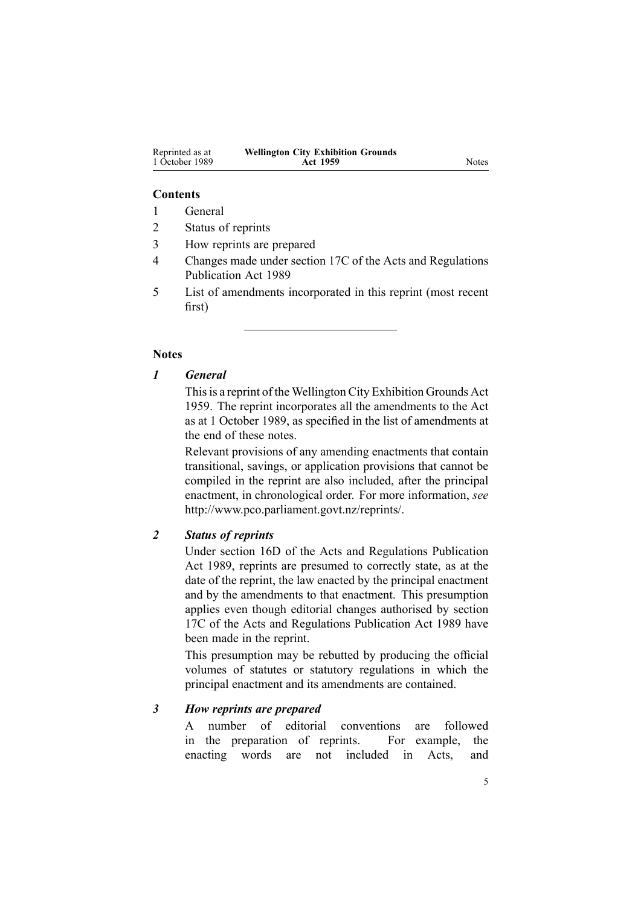| Reprinted as at | <b>Wellington City Exhibition Grounds</b> |
|-----------------|-------------------------------------------|
| 1 October 1989  | Act 1959                                  |

#### **Contents**

- 1 General
- 2 Status of reprints
- 3 How reprints are prepared
- 4 Changes made under section 17C of the Acts and Regulations Publication Act 1989
- 5 List of amendments incorporated in this reprint (most recent first)

#### **Notes**

# *1 General*

This is a reprint of the Wellington City Exhibition Grounds Act 1959. The reprint incorporates all the amendments to the Act as at 1 October 1989, as specified in the list of amendments at the end of these notes.

Relevant provisions of any amending enactments that contain transitional, savings, or application provisions that cannot be compiled in the reprint are also included, after the principal enactment, in chronological order. For more information, *see* <http://www.pco.parliament.govt.nz/reprints/>.

# *2 Status of reprints*

Under [section](http://www.legislation.govt.nz/pdflink.aspx?id=DLM195439) 16D of the Acts and Regulations Publication Act 1989, reprints are presumed to correctly state, as at the date of the reprint, the law enacted by the principal enactment and by the amendments to that enactment. This presumption applies even though editorial changes authorised by [section](http://www.legislation.govt.nz/pdflink.aspx?id=DLM195466) [17C](http://www.legislation.govt.nz/pdflink.aspx?id=DLM195466) of the Acts and Regulations Publication Act 1989 have been made in the reprint.

This presumption may be rebutted by producing the official volumes of statutes or statutory regulations in which the principal enactment and its amendments are contained.

#### *3 How reprints are prepared*

A number of editorial conventions are followed in the preparation of reprints. For example, the enacting words are not included in Acts, and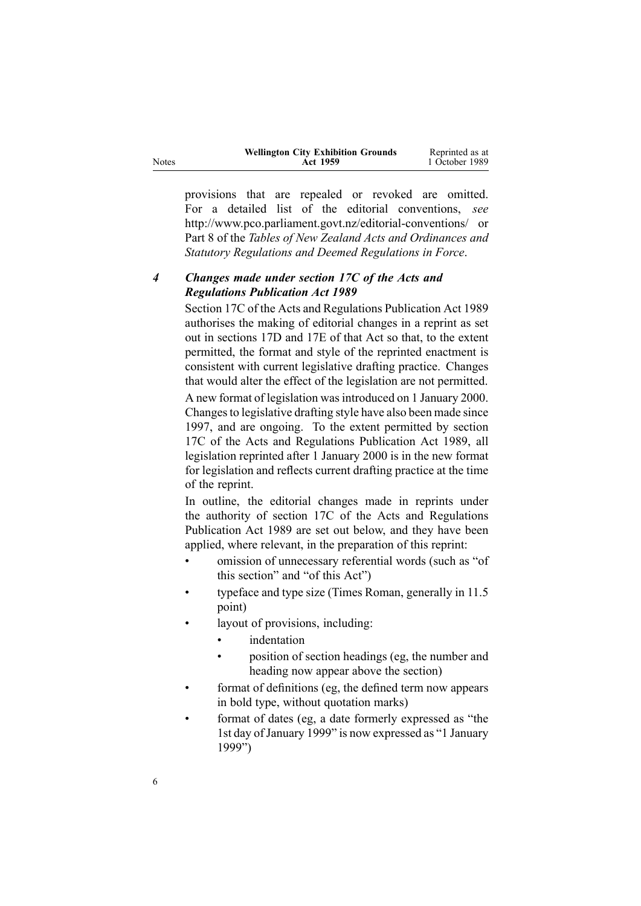|      | <b>Wellington City Exhibition Grounds</b> | Reprinted as at |
|------|-------------------------------------------|-----------------|
| ites | <b>Act 1959</b>                           | 1 October 1989  |

provisions that are repealed or revoked are omitted. For <sup>a</sup> detailed list of the editorial conventions, *see* [http://www.pco.parliament.govt.nz/editorial-conventions/](http://www.pco.parliament.govt.nz/editorial-conventions/ ) or Part 8 of the *Tables of New Zealand Acts and Ordinances and Statutory Regulations and Deemed Regulations in Force*.

# *4 Changes made under section 17C of the Acts and Regulations Publication Act 1989*

[Section](http://www.legislation.govt.nz/pdflink.aspx?id=DLM195466) 17C of the Acts and Regulations Publication Act 1989 authorises the making of editorial changes in <sup>a</sup> reprint as set out in [sections](http://www.legislation.govt.nz/pdflink.aspx?id=DLM195468) 17D and [17E](http://www.legislation.govt.nz/pdflink.aspx?id=DLM195470) of that Act so that, to the extent permitted, the format and style of the reprinted enactment is consistent with current legislative drafting practice. Changes that would alter the effect of the legislation are not permitted.

A new format of legislation wasintroduced on 1 January 2000. Changes to legislative drafting style have also been made since 1997, and are ongoing. To the extent permitted by [section](http://www.legislation.govt.nz/pdflink.aspx?id=DLM195466) [17C](http://www.legislation.govt.nz/pdflink.aspx?id=DLM195466) of the Acts and Regulations Publication Act 1989, all legislation reprinted after 1 January 2000 is in the new format for legislation and reflects current drafting practice at the time of the reprint.

In outline, the editorial changes made in reprints under the authority of [section](http://www.legislation.govt.nz/pdflink.aspx?id=DLM195466) 17C of the Acts and Regulations Publication Act 1989 are set out below, and they have been applied, where relevant, in the preparation of this reprint:

- • omission of unnecessary referential words (such as "of this section" and "of this Act")
- • typeface and type size (Times Roman, generally in 11.5 point)
- • layout of provisions, including:
	- •indentation
	- • position of section headings (eg, the number and heading now appear above the section)
- • format of definitions (eg, the defined term now appears in bold type, without quotation marks)
- • format of dates (eg, <sup>a</sup> date formerly expressed as "the 1st day of January 1999" is now expressed as "1 January 1999")